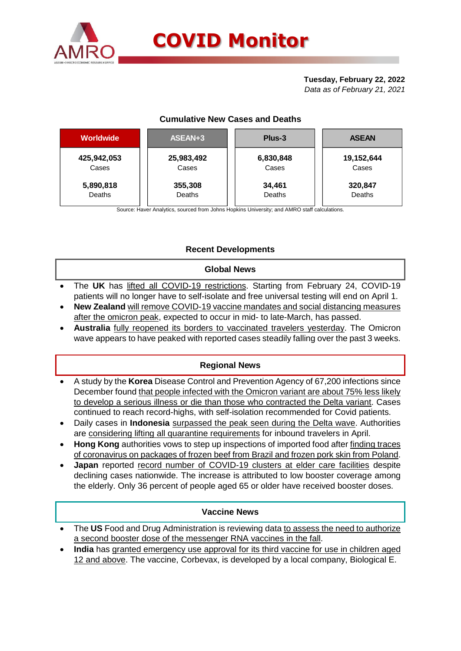

# **Tuesday, February 22, 2022**

*Data as of February 21, 2021*

## **Cumulative New Cases and Deaths**

| <b>Worldwide</b> | ASEAN+3    | Plus-3    | <b>ASEAN</b> |  |  |
|------------------|------------|-----------|--------------|--|--|
| 425,942,053      | 25,983,492 | 6,830,848 | 19,152,644   |  |  |
| Cases            | Cases      | Cases     | Cases        |  |  |
| 5,890,818        | 355,308    | 34,461    | 320,847      |  |  |
| Deaths           | Deaths     | Deaths    | Deaths       |  |  |

Source: Haver Analytics, sourced from Johns Hopkins University; and AMRO staff calculations.

## **Recent Developments**

#### **Global News**

- The **UK** has lifted all COVID-19 restrictions. Starting from February 24, COVID-19 patients will no longer have to self-isolate and free universal testing will end on April 1.
- **New Zealand** will remove COVID-19 vaccine mandates and social distancing measures after the omicron peak, expected to occur in mid- to late-March, has passed.
- **Australia** fully reopened its borders to vaccinated travelers yesterday. The Omicron wave appears to have peaked with reported cases steadily falling over the past 3 weeks.

#### **Regional News**

- A study by the **Korea** Disease Control and Prevention Agency of 67,200 infections since December found that people infected with the Omicron variant are about 75% less likely to develop a serious illness or die than those who contracted the Delta variant. Cases continued to reach record-highs, with self-isolation recommended for Covid patients.
- Daily cases in **Indonesia** surpassed the peak seen during the Delta wave. Authorities are considering lifting all quarantine requirements for inbound travelers in April.
- **Hong Kong** authorities vows to step up inspections of imported food after finding traces of coronavirus on packages of frozen beef from Brazil and frozen pork skin from Poland.
- **Japan** reported record number of COVID-19 clusters at elder care facilities despite declining cases nationwide. The increase is attributed to low booster coverage among the elderly. Only 36 percent of people aged 65 or older have received booster doses.

#### **Vaccine News**

- The **US** Food and Drug Administration is reviewing data to assess the need to authorize a second booster dose of the messenger RNA vaccines in the fall.
- **India** has granted emergency use approval for its third vaccine for use in children aged 12 and above. The vaccine, Corbevax, is developed by a local company, Biological E.